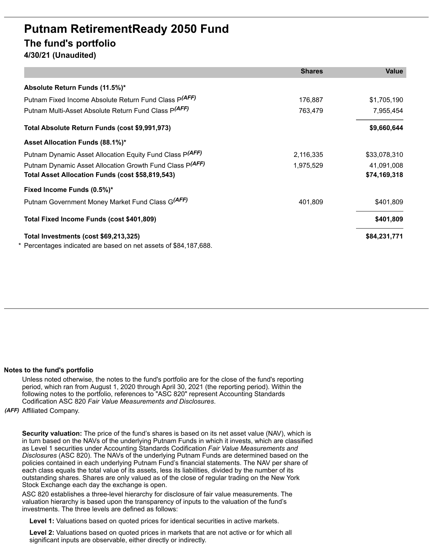## **Putnam RetirementReady 2050 Fund The fund's portfolio 4/30/21 (Unaudited)**

|                                                                  | <b>Shares</b> | <b>Value</b> |
|------------------------------------------------------------------|---------------|--------------|
| Absolute Return Funds (11.5%)*                                   |               |              |
| Putnam Fixed Income Absolute Return Fund Class P(AFF)            | 176,887       | \$1,705,190  |
| Putnam Multi-Asset Absolute Return Fund Class P(AFF)             | 763,479       | 7,955,454    |
| Total Absolute Return Funds (cost \$9,991,973)                   |               | \$9,660,644  |
| Asset Allocation Funds (88.1%)*                                  |               |              |
| Putnam Dynamic Asset Allocation Equity Fund Class P(AFF)         | 2,116,335     | \$33,078,310 |
| Putnam Dynamic Asset Allocation Growth Fund Class P(AFF)         | 1,975,529     | 41,091,008   |
| Total Asset Allocation Funds (cost \$58,819,543)                 |               | \$74,169,318 |
| Fixed Income Funds (0.5%)*                                       |               |              |
| Putnam Government Money Market Fund Class G(AFF)                 | 401.809       | \$401,809    |
| Total Fixed Income Funds (cost \$401,809)                        |               | \$401,809    |
| Total Investments (cost \$69,213,325)                            |               | \$84,231,771 |
| * Percentages indicated are based on net assets of \$84,187,688. |               |              |

## **Notes to the fund's portfolio**

Unless noted otherwise, the notes to the fund's portfolio are for the close of the fund's reporting period, which ran from August 1, 2020 through April 30, 2021 (the reporting period). Within the following notes to the portfolio, references to "ASC 820" represent Accounting Standards Codification ASC 820 *Fair Value Measurements and Disclosures*.

*(AFF)* Affiliated Company.

**Security valuation:** The price of the fund's shares is based on its net asset value (NAV), which is in turn based on the NAVs of the underlying Putnam Funds in which it invests, which are classified as Level 1 securities under Accounting Standards Codification *Fair Value Measurements and Disclosures* (ASC 820). The NAVs of the underlying Putnam Funds are determined based on the policies contained in each underlying Putnam Fund's financial statements. The NAV per share of each class equals the total value of its assets, less its liabilities, divided by the number of its outstanding shares. Shares are only valued as of the close of regular trading on the New York Stock Exchange each day the exchange is open.

ASC 820 establishes a three-level hierarchy for disclosure of fair value measurements. The valuation hierarchy is based upon the transparency of inputs to the valuation of the fund's investments. The three levels are defined as follows:

**Level 1:** Valuations based on quoted prices for identical securities in active markets.

**Level 2:** Valuations based on quoted prices in markets that are not active or for which all significant inputs are observable, either directly or indirectly.